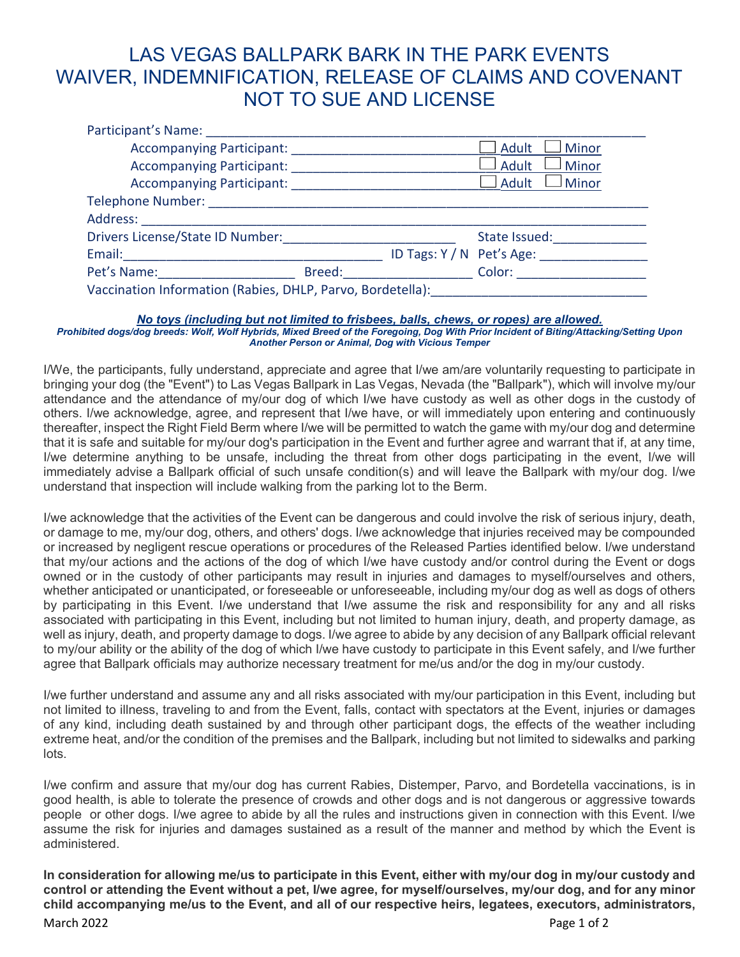## LAS VEGAS BALLPARK BARK IN THE PARK EVENTS WAIVER, INDEMNIFICATION, RELEASE OF CLAIMS AND COVENANT NOT TO SUE AND LICENSE

| Participant's Name:                                                                                                                                                                                                            |        |  |                           |
|--------------------------------------------------------------------------------------------------------------------------------------------------------------------------------------------------------------------------------|--------|--|---------------------------|
| Accompanying Participant:                                                                                                                                                                                                      |        |  | Minor<br>Adult            |
| <b>Accompanying Participant:</b>                                                                                                                                                                                               |        |  | Adult<br>Minor            |
| <b>Accompanying Participant:</b>                                                                                                                                                                                               |        |  | $\Box$ Adult<br>Minor     |
| Telephone Number:                                                                                                                                                                                                              |        |  |                           |
| Address:                                                                                                                                                                                                                       |        |  |                           |
| Drivers License/State ID Number:                                                                                                                                                                                               |        |  | State Issued:             |
| Email: Email: All and All and All and All and All and All and All and All and All and All and All and All and All and All and All and All and All and All and All and All and All and All and All and All and All and All and  |        |  | ID Tags: $Y/N$ Pet's Age: |
| Pet's Name: The Contract of the Contract of the Contract of the Contract of the Contract of the Contract of the Contract of the Contract of the Contract of the Contract of the Contract of the Contract of the Contract of th | Breed: |  | Color:                    |
| Vaccination Information (Rabies, DHLP, Parvo, Bordetella):                                                                                                                                                                     |        |  |                           |

## No toys (including but not limited to frisbees, balls, chews, or ropes) are allowed.

Prohibited dogs/dog breeds: Wolf, Wolf Hybrids, Mixed Breed of the Foregoing, Dog With Prior Incident of Biting/Attacking/Setting Upon Another Person or Animal, Dog with Vicious Temper

I/We, the participants, fully understand, appreciate and agree that I/we am/are voluntarily requesting to participate in bringing your dog (the "Event") to Las Vegas Ballpark in Las Vegas, Nevada (the "Ballpark"), which will involve my/our attendance and the attendance of my/our dog of which I/we have custody as well as other dogs in the custody of others. I/we acknowledge, agree, and represent that I/we have, or will immediately upon entering and continuously thereafter, inspect the Right Field Berm where I/we will be permitted to watch the game with my/our dog and determine that it is safe and suitable for my/our dog's participation in the Event and further agree and warrant that if, at any time, I/we determine anything to be unsafe, including the threat from other dogs participating in the event, I/we will immediately advise a Ballpark official of such unsafe condition(s) and will leave the Ballpark with my/our dog. I/we understand that inspection will include walking from the parking lot to the Berm.

I/we acknowledge that the activities of the Event can be dangerous and could involve the risk of serious injury, death, or damage to me, my/our dog, others, and others' dogs. I/we acknowledge that injuries received may be compounded or increased by negligent rescue operations or procedures of the Released Parties identified below. I/we understand that my/our actions and the actions of the dog of which I/we have custody and/or control during the Event or dogs owned or in the custody of other participants may result in injuries and damages to myself/ourselves and others, whether anticipated or unanticipated, or foreseeable or unforeseeable, including my/our dog as well as dogs of others by participating in this Event. I/we understand that I/we assume the risk and responsibility for any and all risks associated with participating in this Event, including but not limited to human injury, death, and property damage, as well as injury, death, and property damage to dogs. I/we agree to abide by any decision of any Ballpark official relevant to my/our ability or the ability of the dog of which I/we have custody to participate in this Event safely, and I/we further agree that Ballpark officials may authorize necessary treatment for me/us and/or the dog in my/our custody.

I/we further understand and assume any and all risks associated with my/our participation in this Event, including but not limited to illness, traveling to and from the Event, falls, contact with spectators at the Event, injuries or damages of any kind, including death sustained by and through other participant dogs, the effects of the weather including extreme heat, and/or the condition of the premises and the Ballpark, including but not limited to sidewalks and parking lots.

I/we confirm and assure that my/our dog has current Rabies, Distemper, Parvo, and Bordetella vaccinations, is in good health, is able to tolerate the presence of crowds and other dogs and is not dangerous or aggressive towards people or other dogs. I/we agree to abide by all the rules and instructions given in connection with this Event. I/we assume the risk for injuries and damages sustained as a result of the manner and method by which the Event is administered.

In consideration for allowing me/us to participate in this Event, either with my/our dog in my/our custody and control or attending the Event without a pet, I/we agree, for myself/ourselves, my/our dog, and for any minor child accompanying me/us to the Event, and all of our respective heirs, legatees, executors, administrators,

March 2022 **Page 1 of 2**